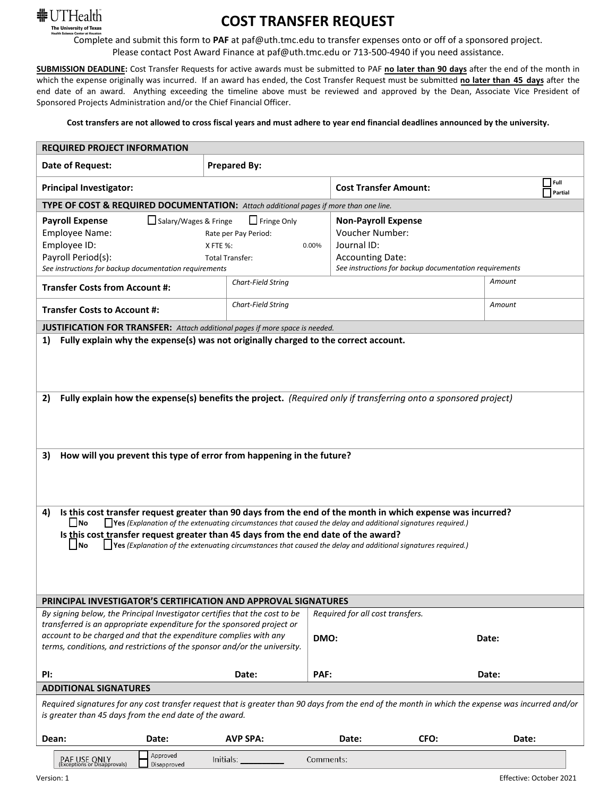

## **COST TRANSFER REQUEST**

Complete and submit this form to **PAF** at paf@uth.tmc.edu to transfer expenses onto or off of a sponsored project. Please contact Post Award Finance at paf@uth.tmc.edu or 713-500-4940 if you need assistance.

**SUBMISSION DEADLINE:** Cost Transfer Requests for active awards must be submitted to PAF **no later than 90 days** after the end of the month in which the expense originally was incurred. If an award has ended, the Cost Transfer Request must be submitted **no later than 45 days** after the end date of an award. Anything exceeding the timeline above must be reviewed and approved by the Dean, Associate Vice President of Sponsored Projects Administration and/or the Chief Financial Officer.

**Cost transfers are not allowed to cross fiscal years and must adhere to year end financial deadlines announced by the university.**

| <b>REQUIRED PROJECT INFORMATION</b>                                                                                                                                                                                                                                                                                                                                                                                                                                         |                                                                                    |                                                                                                                                                          |               |                               |  |  |  |  |
|-----------------------------------------------------------------------------------------------------------------------------------------------------------------------------------------------------------------------------------------------------------------------------------------------------------------------------------------------------------------------------------------------------------------------------------------------------------------------------|------------------------------------------------------------------------------------|----------------------------------------------------------------------------------------------------------------------------------------------------------|---------------|-------------------------------|--|--|--|--|
| <b>Date of Request:</b>                                                                                                                                                                                                                                                                                                                                                                                                                                                     | <b>Prepared By:</b>                                                                |                                                                                                                                                          |               |                               |  |  |  |  |
| <b>Principal Investigator:</b>                                                                                                                                                                                                                                                                                                                                                                                                                                              |                                                                                    | <b>Cost Transfer Amount:</b>                                                                                                                             |               | $\Box$ Full<br>$\Box$ Partial |  |  |  |  |
| TYPE OF COST & REQUIRED DOCUMENTATION: Attach additional pages if more than one line.                                                                                                                                                                                                                                                                                                                                                                                       |                                                                                    |                                                                                                                                                          |               |                               |  |  |  |  |
| Salary/Wages & Fringe<br><b>Payroll Expense</b><br>Employee Name:<br>Employee ID:<br>Payroll Period(s):<br>See instructions for backup documentation requirements                                                                                                                                                                                                                                                                                                           | $\Box$ Fringe Only<br>Rate per Pay Period:<br>X FTE %:<br>0.00%<br>Total Transfer: | <b>Non-Payroll Expense</b><br><b>Voucher Number:</b><br>Journal ID:<br><b>Accounting Date:</b><br>See instructions for backup documentation requirements |               |                               |  |  |  |  |
| <b>Transfer Costs from Account #:</b>                                                                                                                                                                                                                                                                                                                                                                                                                                       | Chart-Field String                                                                 |                                                                                                                                                          | Amount        |                               |  |  |  |  |
| <b>Transfer Costs to Account #:</b>                                                                                                                                                                                                                                                                                                                                                                                                                                         | Chart-Field String                                                                 |                                                                                                                                                          | Amount        |                               |  |  |  |  |
| <b>JUSTIFICATION FOR TRANSFER:</b> Attach additional pages if more space is needed.                                                                                                                                                                                                                                                                                                                                                                                         |                                                                                    |                                                                                                                                                          |               |                               |  |  |  |  |
| Fully explain why the expense(s) was not originally charged to the correct account.                                                                                                                                                                                                                                                                                                                                                                                         |                                                                                    |                                                                                                                                                          |               |                               |  |  |  |  |
| Fully explain how the expense(s) benefits the project. (Required only if transferring onto a sponsored project)<br>2)                                                                                                                                                                                                                                                                                                                                                       |                                                                                    |                                                                                                                                                          |               |                               |  |  |  |  |
| How will you prevent this type of error from happening in the future?<br>3)                                                                                                                                                                                                                                                                                                                                                                                                 |                                                                                    |                                                                                                                                                          |               |                               |  |  |  |  |
| Is this cost transfer request greater than 90 days from the end of the month in which expense was incurred?<br>4)<br>$\Box$ No<br>$\Box$ Yes (Explanation of the extenuating circumstances that caused the delay and additional signatures required.)<br>Is this cost transfer request greater than 45 days from the end date of the award?<br>$\Box$ Yes (Explanation of the extenuating circumstances that caused the delay and additional signatures required.)<br>   No |                                                                                    |                                                                                                                                                          |               |                               |  |  |  |  |
| PRINCIPAL INVESTIGATOR'S CERTIFICATION AND APPROVAL SIGNATURES                                                                                                                                                                                                                                                                                                                                                                                                              |                                                                                    |                                                                                                                                                          |               |                               |  |  |  |  |
| By signing below, the Principal Investigator certifies that the cost to be<br>transferred is an appropriate expenditure for the sponsored project or                                                                                                                                                                                                                                                                                                                        |                                                                                    | Required for all cost transfers.                                                                                                                         |               |                               |  |  |  |  |
| account to be charged and that the expenditure complies with any<br>terms, conditions, and restrictions of the sponsor and/or the university.                                                                                                                                                                                                                                                                                                                               |                                                                                    | DMO:                                                                                                                                                     | Date:         |                               |  |  |  |  |
| PI:                                                                                                                                                                                                                                                                                                                                                                                                                                                                         | PAF:<br>Date:                                                                      |                                                                                                                                                          | Date:         |                               |  |  |  |  |
| <b>ADDITIONAL SIGNATURES</b>                                                                                                                                                                                                                                                                                                                                                                                                                                                |                                                                                    |                                                                                                                                                          |               |                               |  |  |  |  |
| Required signatures for any cost transfer request that is greater than 90 days from the end of the month in which the expense was incurred and/or<br>is greater than 45 days from the end date of the award.                                                                                                                                                                                                                                                                |                                                                                    |                                                                                                                                                          |               |                               |  |  |  |  |
| Date:<br>Dean:                                                                                                                                                                                                                                                                                                                                                                                                                                                              | <b>AVP SPA:</b>                                                                    | Date:                                                                                                                                                    | CFO:<br>Date: |                               |  |  |  |  |
| Approved<br>PAF USE ONLY<br>Disapproved<br><b>Exceptions or Disapprovals)</b>                                                                                                                                                                                                                                                                                                                                                                                               | Initials:                                                                          | Comments:                                                                                                                                                |               |                               |  |  |  |  |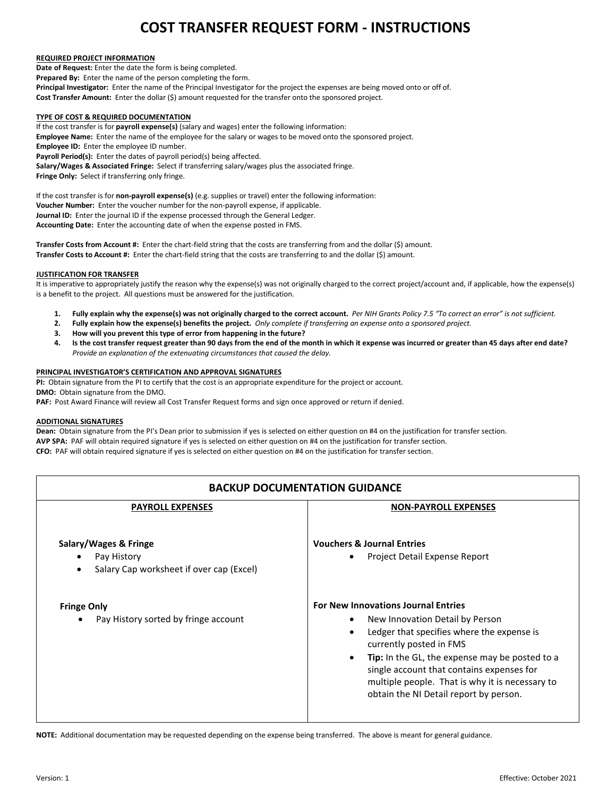## **COST TRANSFER REQUEST FORM - INSTRUCTIONS**

### **REQUIRED PROJECT INFORMATION**

**Date of Request:** Enter the date the form is being completed. **Prepared By:** Enter the name of the person completing the form. **Principal Investigator:** Enter the name of the Principal Investigator for the project the expenses are being moved onto or off of. **Cost Transfer Amount:** Enter the dollar (\$) amount requested for the transfer onto the sponsored project.

## **TYPE OF COST & REQUIRED DOCUMENTATION**

If the cost transfer is for **payroll expense(s)** (salary and wages) enter the following information: **Employee Name:** Enter the name of the employee for the salary or wages to be moved onto the sponsored project. **Employee ID:** Enter the employee ID number. **Payroll Period(s):** Enter the dates of payroll period(s) being affected. **Salary/Wages & Associated Fringe:** Select if transferring salary/wages plus the associated fringe. **Fringe Only:** Select if transferring only fringe.

If the cost transfer is for **non-payroll expense(s)** (e.g. supplies or travel) enter the following information: **Voucher Number:** Enter the voucher number for the non-payroll expense, if applicable. **Journal ID:** Enter the journal ID if the expense processed through the General Ledger. **Accounting Date:** Enter the accounting date of when the expense posted in FMS.

**Transfer Costs from Account #:** Enter the chart-field string that the costs are transferring from and the dollar (\$) amount. **Transfer Costs to Account #:** Enter the chart-field string that the costs are transferring to and the dollar (\$) amount.

#### **JUSTIFICATION FOR TRANSFER**

It is imperative to appropriately justify the reason why the expense(s) was not originally charged to the correct project/account and, if applicable, how the expense(s) is a benefit to the project. All questions must be answered for the justification.

- **1. Fully explain why the expense(s) was not originally charged to the correct account.** *Per NIH Grants Policy 7.5 "To correct an error" is not sufficient.*
- **2. Fully explain how the expense(s) benefits the project.** *Only complete if transferring an expense onto a sponsored project.*
- **3. How will you prevent this type of error from happening in the future?**
- **4. Is the cost transfer request greater than 90 days from the end of the month in which it expense was incurred or greater than 45 days after end date?** *Provide an explanation of the extenuating circumstances that caused the delay.*

### **PRINCIPAL INVESTIGATOR'S CERTIFICATION AND APPROVAL SIGNATURES**

**PI:** Obtain signature from the PI to certify that the cost is an appropriate expenditure for the project or account. **DMO:** Obtain signature from the DMO.

**PAF:** Post Award Finance will review all Cost Transfer Request forms and sign once approved or return if denied.

#### **ADDITIONAL SIGNATURES**

**Dean:** Obtain signature from the PI's Dean prior to submission if yes is selected on either question on #4 on the justification for transfer section. **AVP SPA:** PAF will obtain required signature if yes is selected on either question on #4 on the justification for transfer section. **CFO:** PAF will obtain required signature if yes is selected on either question on #4 on the justification for transfer section.

| <b>BACKUP DOCUMENTATION GUIDANCE</b>                                                          |                                                                                                                                                                                                                                                                                                                                                                                                  |  |  |  |  |  |  |
|-----------------------------------------------------------------------------------------------|--------------------------------------------------------------------------------------------------------------------------------------------------------------------------------------------------------------------------------------------------------------------------------------------------------------------------------------------------------------------------------------------------|--|--|--|--|--|--|
| <b>PAYROLL EXPENSES</b>                                                                       | <b>NON-PAYROLL EXPENSES</b>                                                                                                                                                                                                                                                                                                                                                                      |  |  |  |  |  |  |
| Salary/Wages & Fringe<br>Pay History<br>Salary Cap worksheet if over cap (Excel)<br>$\bullet$ | <b>Vouchers &amp; Journal Entries</b><br>Project Detail Expense Report<br>٠                                                                                                                                                                                                                                                                                                                      |  |  |  |  |  |  |
| <b>Fringe Only</b><br>Pay History sorted by fringe account                                    | <b>For New Innovations Journal Entries</b><br>New Innovation Detail by Person<br>$\bullet$<br>Ledger that specifies where the expense is<br>$\bullet$<br>currently posted in FMS<br><b>Tip:</b> In the GL, the expense may be posted to a<br>$\bullet$<br>single account that contains expenses for<br>multiple people. That is why it is necessary to<br>obtain the NI Detail report by person. |  |  |  |  |  |  |

**NOTE:** Additional documentation may be requested depending on the expense being transferred. The above is meant for general guidance.